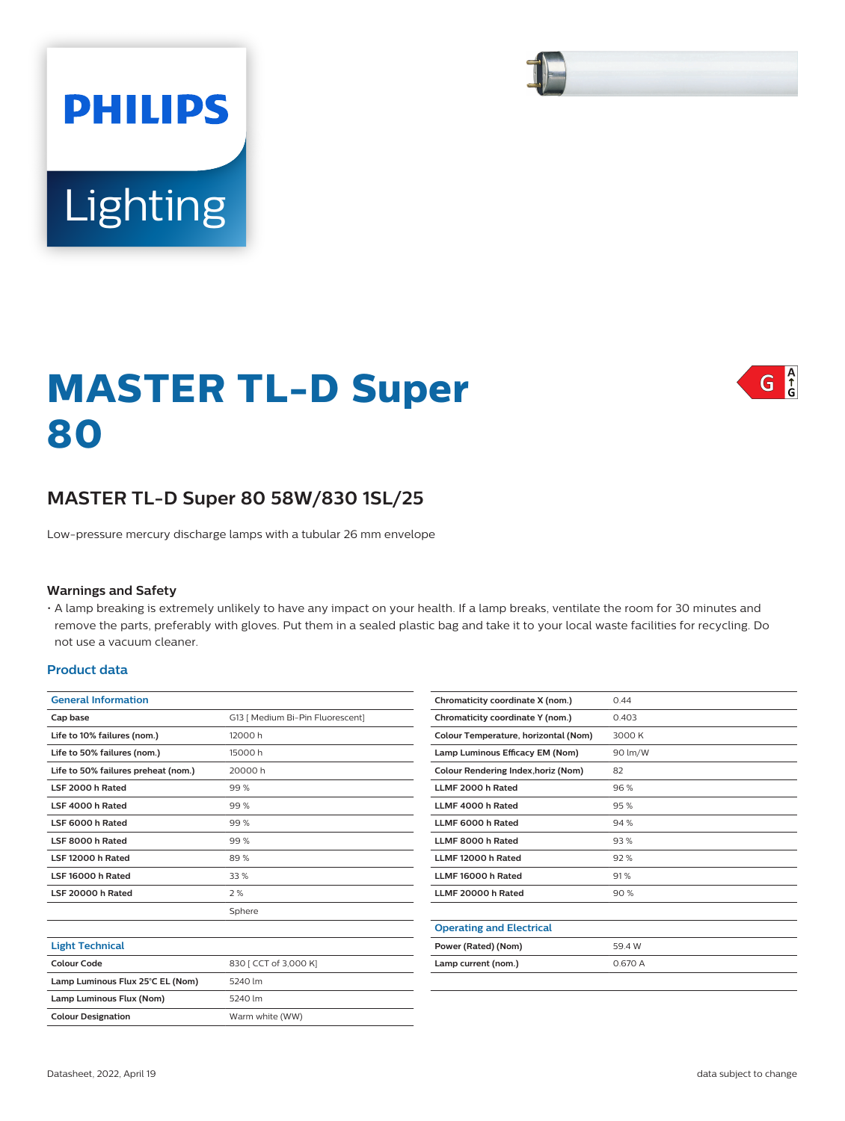# Lighting

**PHILIPS** 

# $G \bigcap_{\mathbf{G}}^{\mathbf{A}}$

# **MASTER TL-D Super 80**

# **MASTER TL-D Super 80 58W/830 1SL/25**

Low-pressure mercury discharge lamps with a tubular 26 mm envelope

#### **Warnings and Safety**

• A lamp breaking is extremely unlikely to have any impact on your health. If a lamp breaks, ventilate the room for 30 minutes and remove the parts, preferably with gloves. Put them in a sealed plastic bag and take it to your local waste facilities for recycling. Do not use a vacuum cleaner.

#### **Product data**

| <b>General Information</b>          |                                  |  |  |  |  |
|-------------------------------------|----------------------------------|--|--|--|--|
| Cap base                            | G13   Medium Bi-Pin Fluorescent] |  |  |  |  |
| Life to 10% failures (nom.)         | 12000 h                          |  |  |  |  |
| Life to 50% failures (nom.)         | 15000h                           |  |  |  |  |
| Life to 50% failures preheat (nom.) | 20000 h                          |  |  |  |  |
| LSF 2000 h Rated                    | 99%                              |  |  |  |  |
| LSF 4000 h Rated                    | 99%                              |  |  |  |  |
| LSF 6000 h Rated                    | 99%                              |  |  |  |  |
| LSF 8000 h Rated                    | 99%                              |  |  |  |  |
| LSF 12000 h Rated                   | 89%                              |  |  |  |  |
| LSF 16000 h Rated                   | 33 %                             |  |  |  |  |
| LSF 20000 h Rated                   | 2%                               |  |  |  |  |
|                                     | Sphere                           |  |  |  |  |
|                                     |                                  |  |  |  |  |
| <b>Light Technical</b>              |                                  |  |  |  |  |
| Colour Code                         | 830   CCT of 3,000 K]            |  |  |  |  |
| Lamp Luminous Flux 25°C EL (Nom)    | 5240 lm                          |  |  |  |  |
| Lamp Luminous Flux (Nom)            | 5240 lm                          |  |  |  |  |
| <b>Colour Designation</b>           | Warm white (WW)                  |  |  |  |  |
|                                     |                                  |  |  |  |  |

| Chromaticity coordinate X (nom.)     | 0.44    |  |  |
|--------------------------------------|---------|--|--|
| Chromaticity coordinate Y (nom.)     | 0.403   |  |  |
| Colour Temperature, horizontal (Nom) | 3000 K  |  |  |
| Lamp Luminous Efficacy EM (Nom)      | 90 lm/W |  |  |
| Colour Rendering Index, horiz (Nom)  | 82      |  |  |
| LLMF 2000 h Rated                    | 96%     |  |  |
| LLMF 4000 h Rated                    | 95%     |  |  |
| <b>I I MF 6000 h Rated</b>           | 94%     |  |  |
| LLMF 8000 h Rated                    | 93%     |  |  |
| LLMF 12000 h Rated                   | 92%     |  |  |
| LLMF 16000 h Rated                   | 91%     |  |  |
| LLMF 20000 h Rated                   | 90%     |  |  |
|                                      |         |  |  |
| <b>Operating and Electrical</b>      |         |  |  |
| Power (Rated) (Nom)                  | 59.4 W  |  |  |
| Lamp current (nom.)                  | 0.670 A |  |  |
|                                      |         |  |  |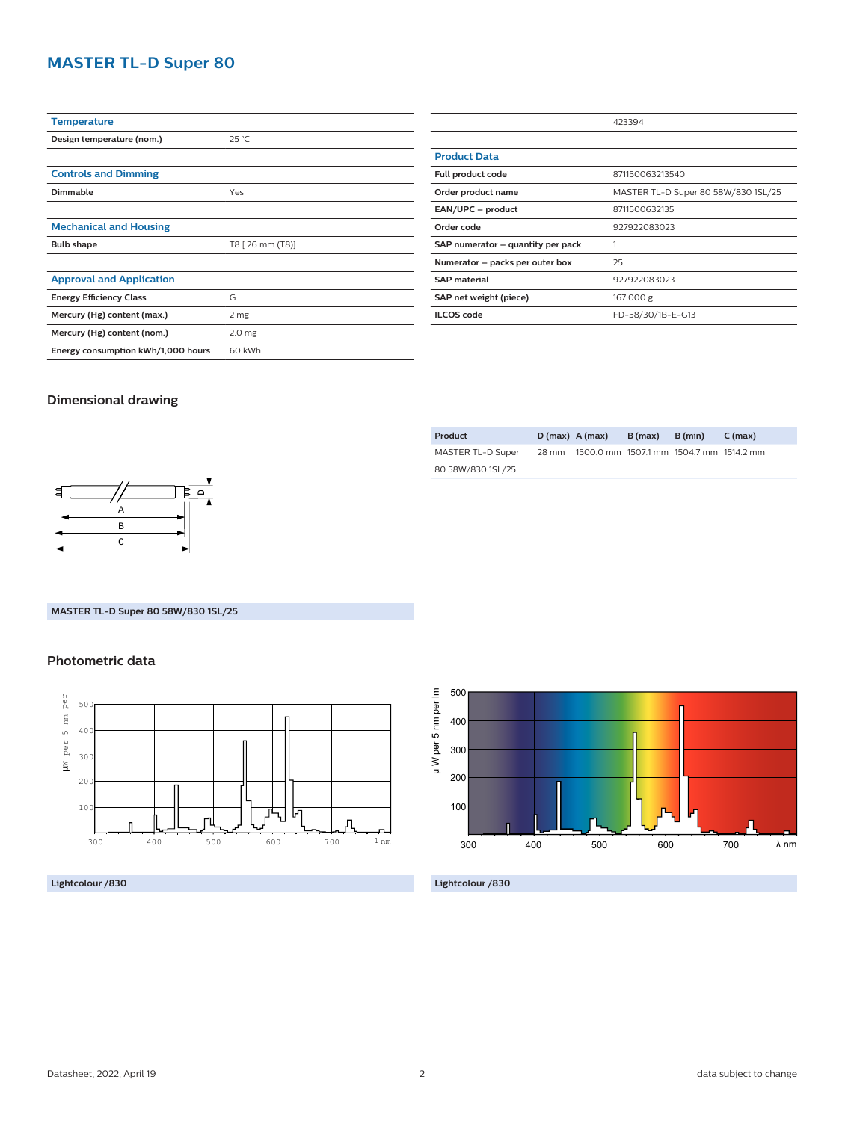# **MASTER TL-D Super 80**

| <b>Temperature</b>                 |                   |  |  |  |
|------------------------------------|-------------------|--|--|--|
| Design temperature (nom.)          | $25^{\circ}$ C    |  |  |  |
|                                    |                   |  |  |  |
| <b>Controls and Dimming</b>        |                   |  |  |  |
| <b>Dimmable</b>                    | Yes               |  |  |  |
|                                    |                   |  |  |  |
| <b>Mechanical and Housing</b>      |                   |  |  |  |
| <b>Bulb shape</b>                  | T8 [ 26 mm (T8)]  |  |  |  |
|                                    |                   |  |  |  |
| <b>Approval and Application</b>    |                   |  |  |  |
| <b>Energy Efficiency Class</b>     | G                 |  |  |  |
| Mercury (Hg) content (max.)        | 2 mg              |  |  |  |
| Mercury (Hg) content (nom.)        | 2.0 <sub>mg</sub> |  |  |  |
| Energy consumption kWh/1,000 hours | 60 kWh            |  |  |  |

|                                   | 423394                              |  |  |  |
|-----------------------------------|-------------------------------------|--|--|--|
|                                   |                                     |  |  |  |
| <b>Product Data</b>               |                                     |  |  |  |
| Full product code                 | 871150063213540                     |  |  |  |
| Order product name                | MASTER TL-D Super 80 58W/830 1SL/25 |  |  |  |
| EAN/UPC - product                 | 8711500632135                       |  |  |  |
| Order code                        | 927922083023                        |  |  |  |
| SAP numerator – quantity per pack |                                     |  |  |  |
| Numerator - packs per outer box   | 25                                  |  |  |  |
| <b>SAP material</b>               | 927922083023                        |  |  |  |
| SAP net weight (piece)            | 167.000 g                           |  |  |  |
| <b>ILCOS</b> code                 | FD-58/30/1B-E-G13                   |  |  |  |

## **Dimensional drawing**

| Product           |       | $D(max)$ A (max) | B (max) | B (min)                                 | C (max) |
|-------------------|-------|------------------|---------|-----------------------------------------|---------|
| MASTER TL-D Super | 28 mm |                  |         | 1500.0 mm 1507.1 mm 1504.7 mm 1514.2 mm |         |
| 80 58W/830 1SL/25 |       |                  |         |                                         |         |



## **MASTER TL-D Super 80 58W/830 1SL/25**

## **Photometric data**



**Lightcolour /830**



**Lightcolour /830**